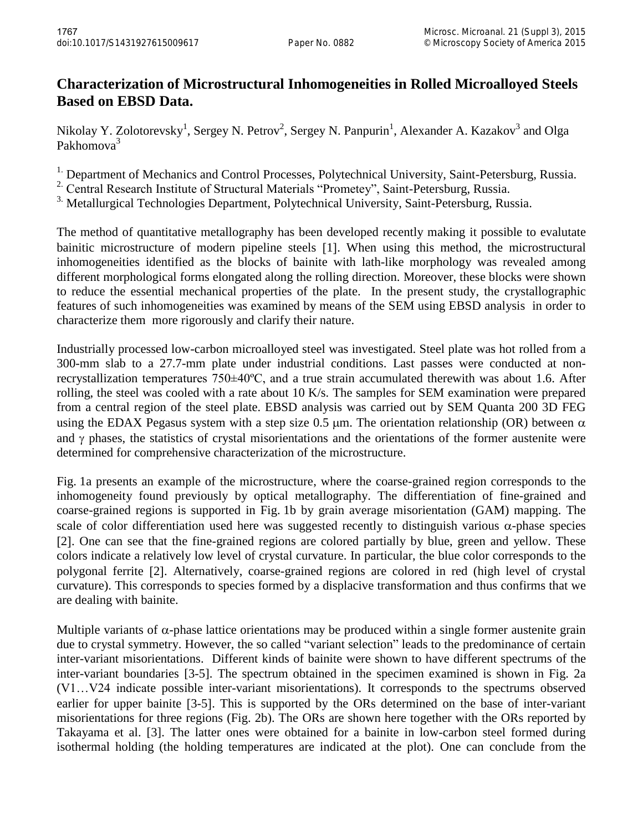## **Characterization of Microstructural Inhomogeneities in Rolled Microalloyed Steels Based on EBSD Data.**

Nikolay Y. Zolotorevsky<sup>1</sup>, Sergey N. Petrov<sup>2</sup>, Sergey N. Panpurin<sup>1</sup>, Alexander A. Kazakov<sup>3</sup> and Olga Pakhomova<sup>3</sup>

<sup>1.</sup> Department of Mechanics and Control Processes, Polytechnical University, Saint-Petersburg, Russia.

<sup>2</sup> Central Research Institute of Structural Materials "Prometey", Saint-Petersburg, Russia.

<sup>3.</sup> Metallurgical Technologies Department, Polytechnical University, Saint-Petersburg, Russia.

The method of quantitative metallography has been developed recently making it possible to evalutate bainitic microstructure of modern pipeline steels [1]. When using this method, the microstructural inhomogeneities identified as the blocks of bainite with lath-like morphology was revealed among different morphological forms elongated along the rolling direction. Moreover, these blocks were shown to reduce the essential mechanical properties of the plate. In the present study, the crystallographic features of such inhomogeneities was examined by means of the SEM using EBSD analysis in order to characterize them more rigorously and clarify their nature.

Industrially processed low-carbon microalloyed steel was investigated. Steel plate was hot rolled from a 300-mm slab to a 27.7-mm plate under industrial conditions. Last passes were conducted at nonrecrystallization temperatures 750±40ºC, and a true strain accumulated therewith was about 1.6. After rolling, the steel was cooled with a rate about 10 K/s. The samples for SEM examination were prepared from a central region of the steel plate. EBSD analysis was carried out by SEM Quanta 200 3D FEG using the EDAX Pegasus system with a step size 0.5  $\mu$ m. The orientation relationship (OR) between  $\alpha$ and  $\gamma$  phases, the statistics of crystal misorientations and the orientations of the former austenite were determined for comprehensive characterization of the microstructure.

Fig. 1a presents an example of the microstructure, where the coarse-grained region corresponds to the inhomogeneity found previously by optical metallography. The differentiation of fine-grained and coarse-grained regions is supported in Fig. 1b by grain average misorientation (GAM) mapping. The scale of color differentiation used here was suggested recently to distinguish various  $\alpha$ -phase species [2]. One can see that the fine-grained regions are colored partially by blue, green and yellow. These colors indicate a relatively low level of crystal curvature. In particular, the blue color corresponds to the polygonal ferrite [2]. Alternatively, coarse-grained regions are colored in red (high level of crystal curvature). This corresponds to species formed by a displacive transformation and thus confirms that we are dealing with bainite.

Multiple variants of  $\alpha$ -phase lattice orientations may be produced within a single former austenite grain due to crystal symmetry. However, the so called "variant selection" leads to the predominance of certain inter-variant misorientations. Different kinds of bainite were shown to have different spectrums of the inter-variant boundaries [3-5]. The spectrum obtained in the specimen examined is shown in Fig. 2a (V1…V24 indicate possible inter-variant misorientations). It corresponds to the spectrums observed earlier for upper bainite [3-5]. This is supported by the ORs determined on the base of inter-variant misorientations for three regions (Fig. 2b). The ORs are shown here together with the ORs reported by Takayama et al. [3]. The latter ones were obtained for a bainite in low-carbon steel formed during isothermal holding (the holding temperatures are indicated at the plot). One can conclude from the